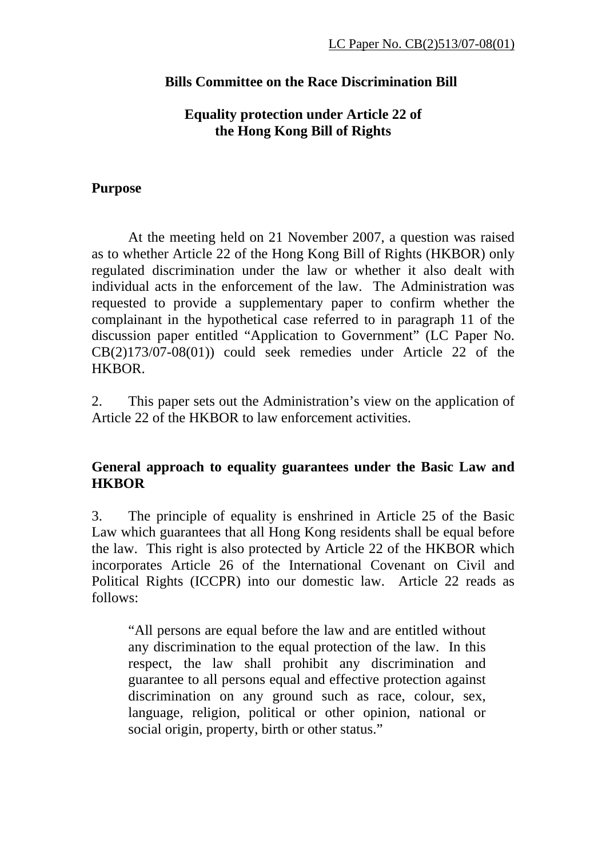## **Bills Committee on the Race Discrimination Bill**

## **Equality protection under Article 22 of the Hong Kong Bill of Rights**

#### **Purpose**

At the meeting held on 21 November 2007, a question was raised as to whether Article 22 of the Hong Kong Bill of Rights (HKBOR) only regulated discrimination under the law or whether it also dealt with individual acts in the enforcement of the law. The Administration was requested to provide a supplementary paper to confirm whether the complainant in the hypothetical case referred to in paragraph 11 of the discussion paper entitled "Application to Government" (LC Paper No. CB(2)173/07-08(01)) could seek remedies under Article 22 of the HKBOR.

2. This paper sets out the Administration's view on the application of Article 22 of the HKBOR to law enforcement activities.

# **General approach to equality guarantees under the Basic Law and HKBOR**

3. The principle of equality is enshrined in Article 25 of the Basic Law which guarantees that all Hong Kong residents shall be equal before the law. This right is also protected by Article 22 of the HKBOR which incorporates Article 26 of the International Covenant on Civil and Political Rights (ICCPR) into our domestic law. Article 22 reads as follows:

"All persons are equal before the law and are entitled without any discrimination to the equal protection of the law. In this respect, the law shall prohibit any discrimination and guarantee to all persons equal and effective protection against discrimination on any ground such as race, colour, sex, language, religion, political or other opinion, national or social origin, property, birth or other status."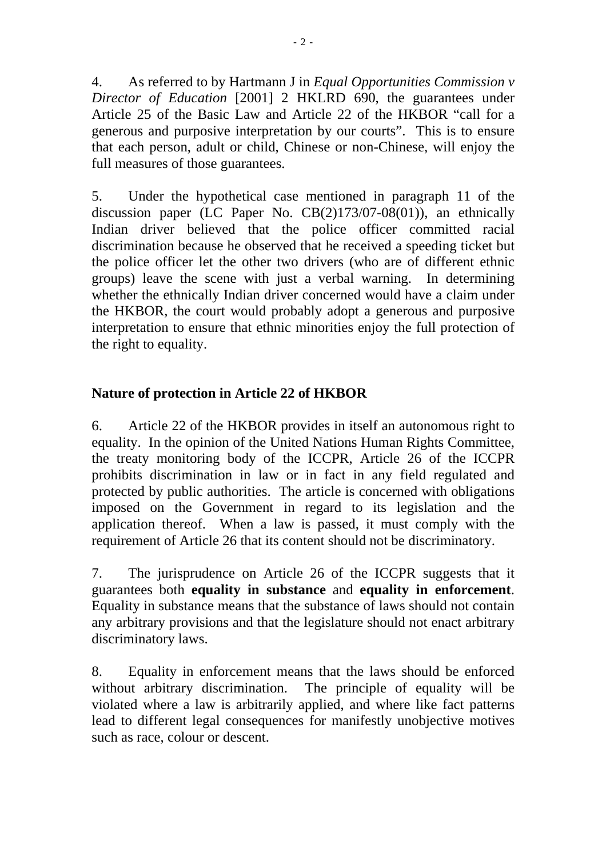4. As referred to by Hartmann J in *Equal Opportunities Commission v Director of Education* [2001] 2 HKLRD 690, the guarantees under Article 25 of the Basic Law and Article 22 of the HKBOR "call for a generous and purposive interpretation by our courts". This is to ensure that each person, adult or child, Chinese or non-Chinese, will enjoy the full measures of those guarantees.

5. Under the hypothetical case mentioned in paragraph 11 of the discussion paper (LC Paper No. CB(2)173/07-08(01)), an ethnically Indian driver believed that the police officer committed racial discrimination because he observed that he received a speeding ticket but the police officer let the other two drivers (who are of different ethnic groups) leave the scene with just a verbal warning. In determining whether the ethnically Indian driver concerned would have a claim under the HKBOR, the court would probably adopt a generous and purposive interpretation to ensure that ethnic minorities enjoy the full protection of the right to equality.

# **Nature of protection in Article 22 of HKBOR**

6. Article 22 of the HKBOR provides in itself an autonomous right to equality. In the opinion of the United Nations Human Rights Committee, the treaty monitoring body of the ICCPR, Article 26 of the ICCPR prohibits discrimination in law or in fact in any field regulated and protected by public authorities. The article is concerned with obligations imposed on the Government in regard to its legislation and the application thereof. When a law is passed, it must comply with the requirement of Article 26 that its content should not be discriminatory.

7. The jurisprudence on Article 26 of the ICCPR suggests that it guarantees both **equality in substance** and **equality in enforcement**. Equality in substance means that the substance of laws should not contain any arbitrary provisions and that the legislature should not enact arbitrary discriminatory laws.

8. Equality in enforcement means that the laws should be enforced without arbitrary discrimination. The principle of equality will be violated where a law is arbitrarily applied, and where like fact patterns lead to different legal consequences for manifestly unobjective motives such as race, colour or descent.